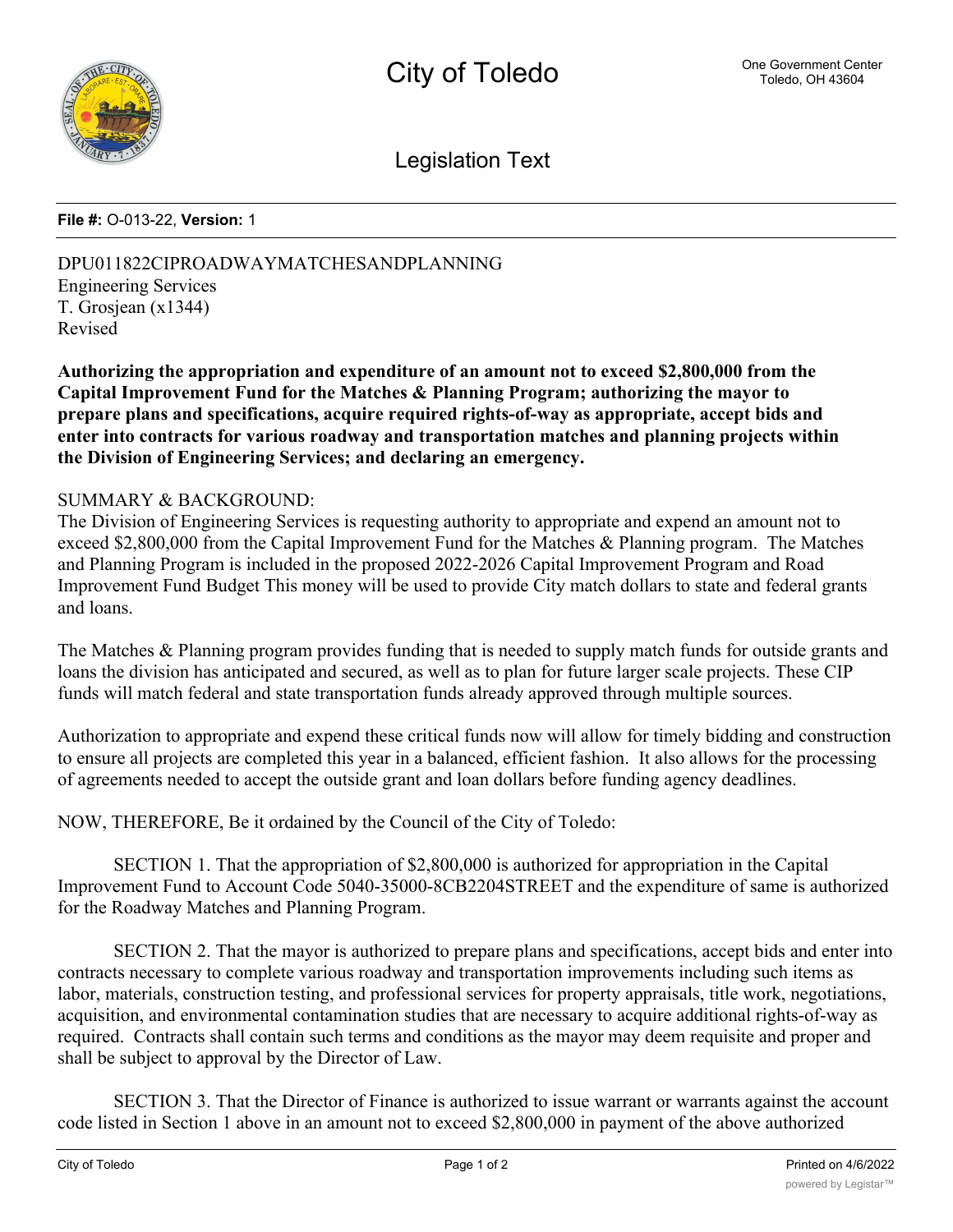

Legislation Text

## **File #:** O-013-22, **Version:** 1

DPU011822CIPROADWAYMATCHESANDPLANNING Engineering Services T. Grosjean (x1344) Revised

**Authorizing the appropriation and expenditure of an amount not to exceed \$2,800,000 from the Capital Improvement Fund for the Matches & Planning Program; authorizing the mayor to prepare plans and specifications, acquire required rights-of-way as appropriate, accept bids and enter into contracts for various roadway and transportation matches and planning projects within the Division of Engineering Services; and declaring an emergency.**

## SUMMARY & BACKGROUND:

The Division of Engineering Services is requesting authority to appropriate and expend an amount not to exceed \$2,800,000 from the Capital Improvement Fund for the Matches & Planning program. The Matches and Planning Program is included in the proposed 2022-2026 Capital Improvement Program and Road Improvement Fund Budget This money will be used to provide City match dollars to state and federal grants and loans.

The Matches & Planning program provides funding that is needed to supply match funds for outside grants and loans the division has anticipated and secured, as well as to plan for future larger scale projects. These CIP funds will match federal and state transportation funds already approved through multiple sources.

Authorization to appropriate and expend these critical funds now will allow for timely bidding and construction to ensure all projects are completed this year in a balanced, efficient fashion. It also allows for the processing of agreements needed to accept the outside grant and loan dollars before funding agency deadlines.

NOW, THEREFORE, Be it ordained by the Council of the City of Toledo:

SECTION 1. That the appropriation of \$2,800,000 is authorized for appropriation in the Capital Improvement Fund to Account Code 5040-35000-8CB2204STREET and the expenditure of same is authorized for the Roadway Matches and Planning Program.

SECTION 2. That the mayor is authorized to prepare plans and specifications, accept bids and enter into contracts necessary to complete various roadway and transportation improvements including such items as labor, materials, construction testing, and professional services for property appraisals, title work, negotiations, acquisition, and environmental contamination studies that are necessary to acquire additional rights-of-way as required. Contracts shall contain such terms and conditions as the mayor may deem requisite and proper and shall be subject to approval by the Director of Law.

SECTION 3. That the Director of Finance is authorized to issue warrant or warrants against the account code listed in Section 1 above in an amount not to exceed \$2,800,000 in payment of the above authorized